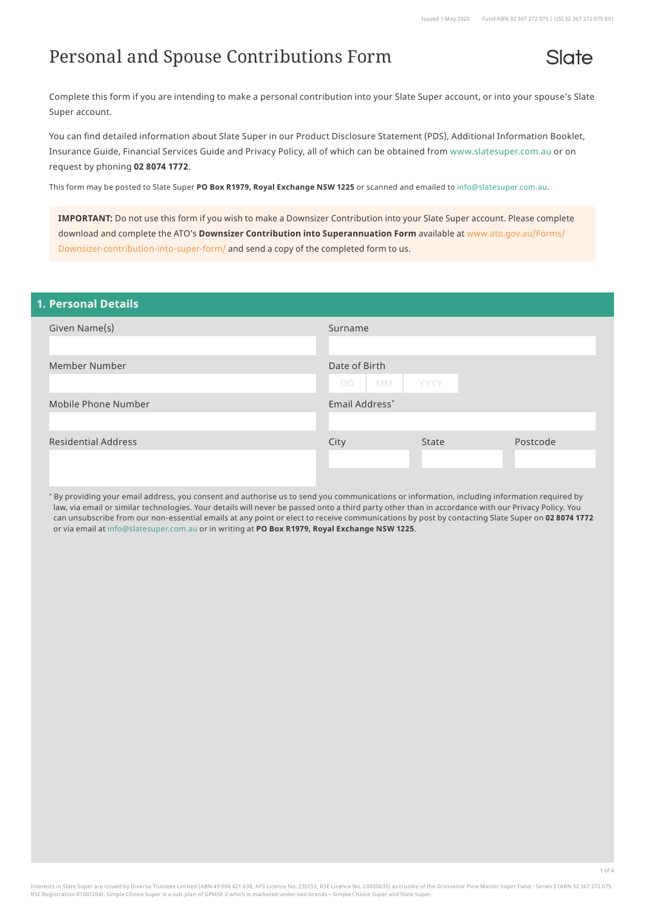# Personal and Spouse Contributions Form

Slate

Complete this form if you are intending to make a personal contribution into your Slate Super account, or into your spouse's Slate Super account.

You can find detailed information about Slate Super in our Product Disclosure Statement (PDS), Additional Information Booklet, Insurance Guide, Financial Services Guide and Privacy Policy, all of which can be obtained from [www.slatesuper.com.au](http://www.slatesuper.com.au) or on request by phoning **02 8074 1772**.

This form may be posted to Slate Super **PO Box R1979, Royal Exchange NSW 1225** or scanned and emailed to [info@slatesuper.com.au](mailto:info%40slatesuper.com.au?subject=).

**IMPORTANT:** Do not use this form if you wish to make a Downsizer Contribution into your Slate Super account. Please complete download and complete the ATO's **Downsizer Contribution into Superannuation Form** available at [www.ato.gov.au/Forms/](http://www.ato.gov.au/Forms/Downsizer-contribution-into-super-form/ ) [Downsizer-contribution-into-super-form/](http://www.ato.gov.au/Forms/Downsizer-contribution-into-super-form/ ) and send a copy of the completed form to us.

| <b>1. Personal Details</b> |                                          |
|----------------------------|------------------------------------------|
| Given Name(s)              | Surname                                  |
| Member Number              | Date of Birth<br>MM<br>YYYY<br><b>DD</b> |
| Mobile Phone Number        | Email Address*                           |
| <b>Residential Address</b> | Postcode<br>City<br>State                |

\* By providing your email address, you consent and authorise us to send you communications or information, including information required by law, via email or similar technologies. Your details will never be passed onto a third party other than in accordance with our Privacy Policy. You can unsubscribe from our non-essential emails at any point or elect to receive communications by post by contacting Slate Super on **02 8074 1772** or via email at [info@slatesuper.com.au](mailto:info%40slatesuper.com.au?subject=) or in writing at **PO Box R1979, Royal Exchange NSW 1225**.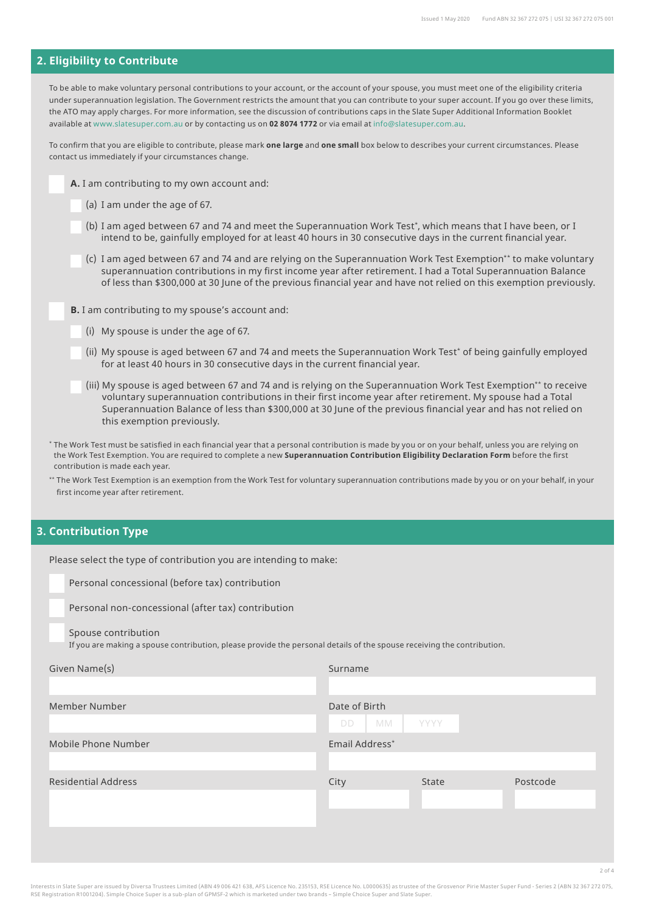#### **2. Eligibility to Contribute**

To be able to make voluntary personal contributions to your account, or the account of your spouse, you must meet one of the eligibility criteria under superannuation legislation. The Government restricts the amount that you can contribute to your super account. If you go over these limits, the ATO may apply charges. For more information, see the discussion of contributions caps in the Slate Super Additional Information Booklet available at [www.slatesuper.com.au](http://www.slatesuper.com.au) or by contacting us on **02 8074 1772** or via email at [info@slatesuper.com.au.](mailto:info%40slatesuper.com.au?subject=)

To confirm that you are eligible to contribute, please mark **one large** and **one small** box below to describes your current circumstances. Please contact us immediately if your circumstances change.

- **A.** I am contributing to my own account and:
	- (a) I am under the age of 67.
	- (b) I am aged between 67 and 74 and meet the Superannuation Work Test\*, which means that I have been, or I intend to be, gainfully employed for at least 40 hours in 30 consecutive days in the current financial year.
	- (c) I am aged between 67 and 74 and are relying on the Superannuation Work Test Exemption\*\* to make voluntary superannuation contributions in my first income year after retirement. I had a Total Superannuation Balance of less than \$300,000 at 30 June of the previous financial year and have not relied on this exemption previously.

**B.** I am contributing to my spouse's account and:

Please select the type of contribution you are intending to make:

- (i) My spouse is under the age of 67.
- (ii) My spouse is aged between 67 and 74 and meets the Superannuation Work Test\* of being gainfully employed for at least 40 hours in 30 consecutive days in the current financial year.
- (iii) My spouse is aged between 67 and 74 and is relying on the Superannuation Work Test Exemption\*\* to receive voluntary superannuation contributions in their first income year after retirement. My spouse had a Total Superannuation Balance of less than \$300,000 at 30 June of the previous financial year and has not relied on this exemption previously.
- \* The Work Test must be satisfied in each financial year that a personal contribution is made by you or on your behalf, unless you are relying on the Work Test Exemption. You are required to complete a new **Superannuation Contribution Eligibility Declaration Form** before the first contribution is made each year.
- \*\* The Work Test Exemption is an exemption from the Work Test for voluntary superannuation contributions made by you or on your behalf, in your first income year after retirement.

### **3. Contribution Type**

| Personal concessional (before tax) contribution                                                                        |                 |             |          |
|------------------------------------------------------------------------------------------------------------------------|-----------------|-------------|----------|
| Personal non-concessional (after tax) contribution                                                                     |                 |             |          |
| Spouse contribution                                                                                                    |                 |             |          |
| If you are making a spouse contribution, please provide the personal details of the spouse receiving the contribution. |                 |             |          |
| Given Name(s)                                                                                                          | Surname         |             |          |
|                                                                                                                        |                 |             |          |
| Member Number                                                                                                          | Date of Birth   |             |          |
|                                                                                                                        | MM<br><b>DD</b> | <b>YYYY</b> |          |
| Mobile Phone Number                                                                                                    | Email Address*  |             |          |
|                                                                                                                        |                 |             |          |
| <b>Residential Address</b>                                                                                             | City            | State       | Postcode |
|                                                                                                                        |                 |             |          |
|                                                                                                                        |                 |             |          |
|                                                                                                                        |                 |             |          |
|                                                                                                                        |                 |             |          |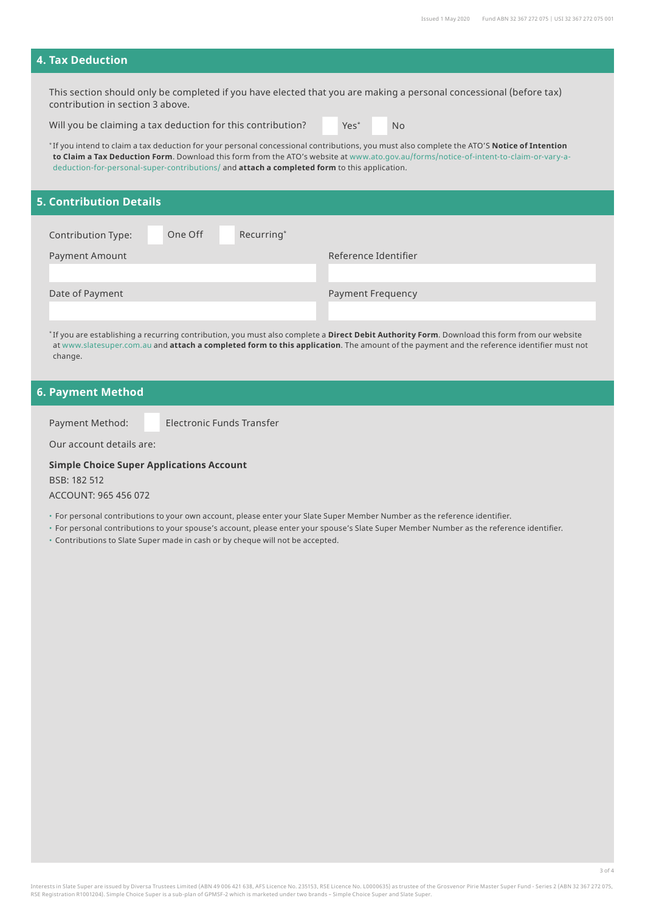#### **4. Tax Deduction**

This section should only be completed if you have elected that you are making a personal concessional (before tax) contribution in section 3 above.

Will you be claiming a tax deduction for this contribution?

Yes\* No

\* If you intend to claim a tax deduction for your personal concessional contributions, you must also complete the ATO'S **Notice of Intention to Claim a Tax Deduction Form**. Download this form from the ATO's website at [www.ato.gov.au/forms/notice-of-intent-to-claim-or-vary-a](http://www.ato.gov.au/forms/notice-of-intent-to-claim-or-vary-a-deduction-for-personal-super-contributions/)[deduction-for-personal-super-contributions/](http://www.ato.gov.au/forms/notice-of-intent-to-claim-or-vary-a-deduction-for-personal-super-contributions/) and **attach a completed form** to this application.

#### **5. Contribution Details**

| Contribution Type: | One Off | Recurring* |                          |
|--------------------|---------|------------|--------------------------|
| Payment Amount     |         |            | Reference Identifier     |
|                    |         |            |                          |
| Date of Payment    |         |            | <b>Payment Frequency</b> |
|                    |         |            |                          |

\* If you are establishing a recurring contribution, you must also complete a **Direct Debit Authority Form**. Download this form from our website at [www.slatesuper.com.au](http://www.slatesuper.com.au) and **attach a completed form to this application**. The amount of the payment and the reference identifier must not change.

### **6. Payment Method**

Payment Method: Electronic Funds Transfer

Our account details are:

#### **Simple Choice Super Applications Account**

BSB: 182 512 ACCOUNT: 965 456 072

• For personal contributions to your own account, please enter your Slate Super Member Number as the reference identifier.

• For personal contributions to your spouse's account, please enter your spouse's Slate Super Member Number as the reference identifier.

• Contributions to Slate Super made in cash or by cheque will not be accepted.